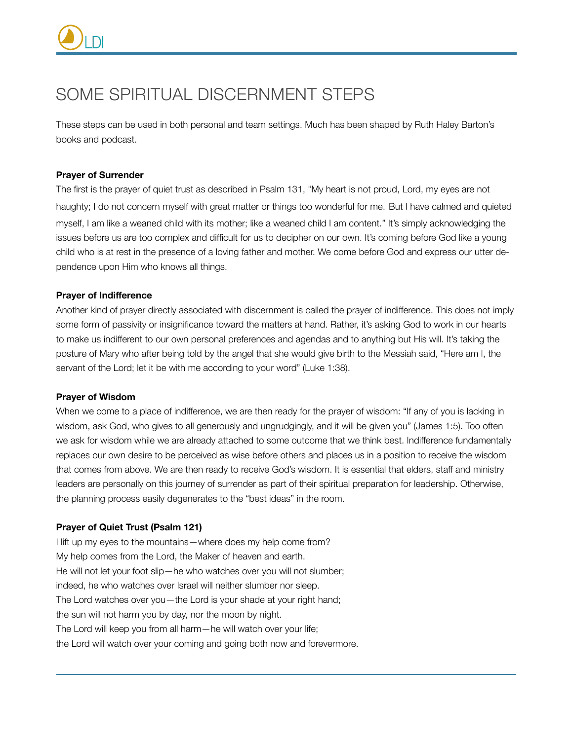# SOME SPIRITUAL DISCERNMENT STEPS

These steps can be used in both personal and team settings. Much has been shaped by Ruth Haley Barton's books and podcast.

# **Prayer of Surrender**

The first is the prayer of quiet trust as described in Psalm 131, "My heart is not proud, Lord, my eyes are not haughty; I do not concern myself with great matter or things too wonderful for me. But I have calmed and quieted myself, I am like a weaned child with its mother; like a weaned child I am content." It's simply acknowledging the issues before us are too complex and difficult for us to decipher on our own. It's coming before God like a young child who is at rest in the presence of a loving father and mother. We come before God and express our utter dependence upon Him who knows all things.

# **Prayer of Indifference**

Another kind of prayer directly associated with discernment is called the prayer of indifference. This does not imply some form of passivity or insignificance toward the matters at hand. Rather, it's asking God to work in our hearts to make us indifferent to our own personal preferences and agendas and to anything but His will. It's taking the posture of Mary who after being told by the angel that she would give birth to the Messiah said, "Here am I, the servant of the Lord; let it be with me according to your word" (Luke 1:38).

### **Prayer of Wisdom**

When we come to a place of indifference, we are then ready for the prayer of wisdom: "If any of you is lacking in wisdom, ask God, who gives to all generously and ungrudgingly, and it will be given you" (James 1:5). Too often we ask for wisdom while we are already attached to some outcome that we think best. Indifference fundamentally replaces our own desire to be perceived as wise before others and places us in a position to receive the wisdom that comes from above. We are then ready to receive God's wisdom. It is essential that elders, staff and ministry leaders are personally on this journey of surrender as part of their spiritual preparation for leadership. Otherwise, the planning process easily degenerates to the "best ideas" in the room.

### **Prayer of Quiet Trust (Psalm 121)**

I lift up my eyes to the mountains—where does my help come from? My help comes from the Lord, the Maker of heaven and earth. He will not let your foot slip—he who watches over you will not slumber; indeed, he who watches over Israel will neither slumber nor sleep. The Lord watches over you—the Lord is your shade at your right hand; the sun will not harm you by day, nor the moon by night. The Lord will keep you from all harm—he will watch over your life; the Lord will watch over your coming and going both now and forevermore.